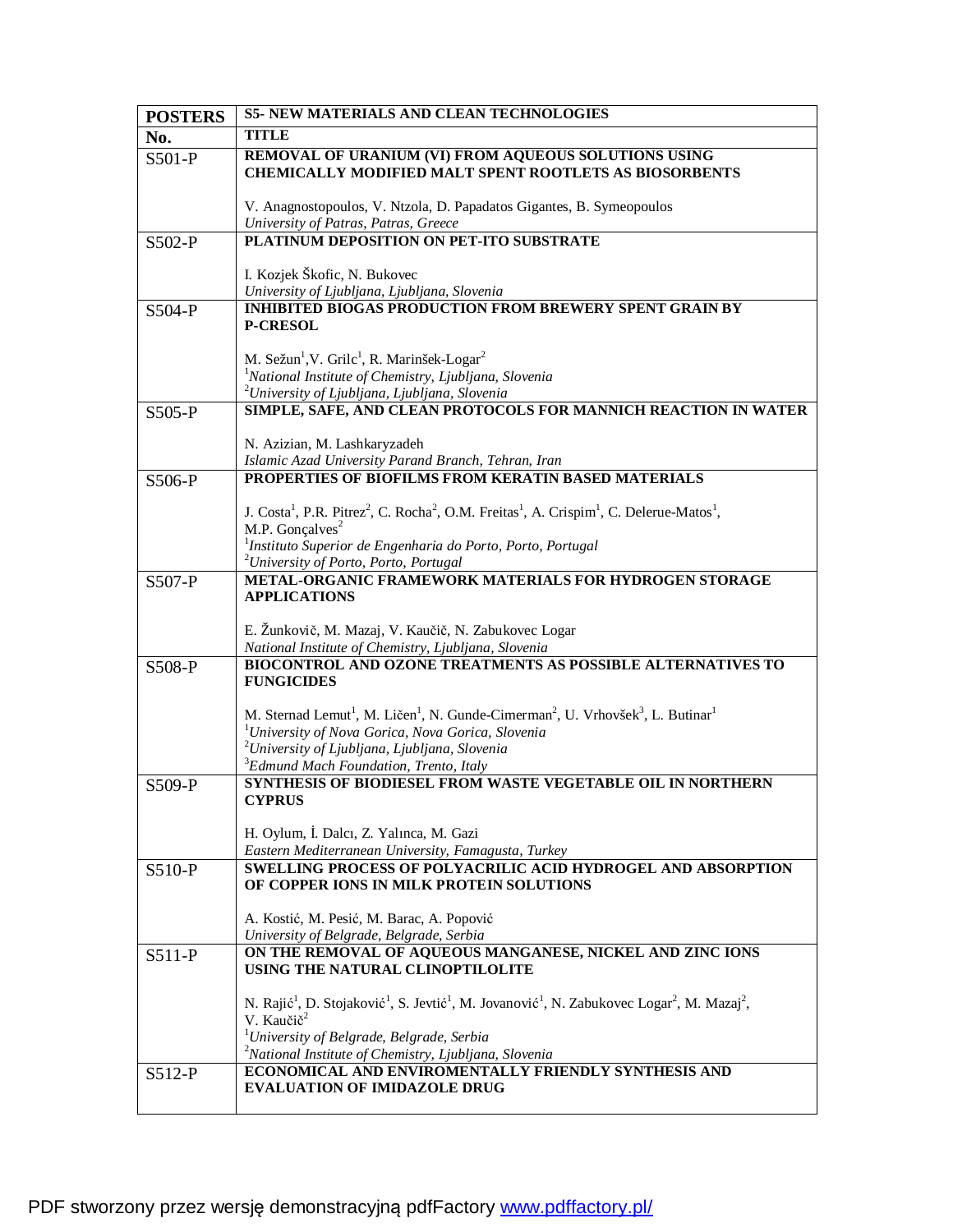| <b>POSTERS</b> | <b>S5- NEW MATERIALS AND CLEAN TECHNOLOGIES</b>                                                                                                                                                 |
|----------------|-------------------------------------------------------------------------------------------------------------------------------------------------------------------------------------------------|
| No.            | <b>TITLE</b>                                                                                                                                                                                    |
| S501-P         | REMOVAL OF URANIUM (VI) FROM AQUEOUS SOLUTIONS USING<br><b>CHEMICALLY MODIFIED MALT SPENT ROOTLETS AS BIOSORBENTS</b>                                                                           |
|                | V. Anagnostopoulos, V. Ntzola, D. Papadatos Gigantes, B. Symeopoulos                                                                                                                            |
|                | University of Patras, Patras, Greece                                                                                                                                                            |
| S502-P         | PLATINUM DEPOSITION ON PET-ITO SUBSTRATE                                                                                                                                                        |
|                |                                                                                                                                                                                                 |
|                | I. Kozjek Škofic, N. Bukovec<br>University of Ljubljana, Ljubljana, Slovenia                                                                                                                    |
| S504-P         | <b>INHIBITED BIOGAS PRODUCTION FROM BREWERY SPENT GRAIN BY</b>                                                                                                                                  |
|                | <b>P-CRESOL</b>                                                                                                                                                                                 |
|                |                                                                                                                                                                                                 |
|                | M. Sežun <sup>1</sup> , V. Grilc <sup>1</sup> , R. Marinšek-Logar <sup>2</sup>                                                                                                                  |
|                | <sup>1</sup> National Institute of Chemistry, Ljubljana, Slovenia                                                                                                                               |
|                | <sup>2</sup> University of Ljubljana, Ljubljana, Slovenia                                                                                                                                       |
| S505-P         | SIMPLE, SAFE, AND CLEAN PROTOCOLS FOR MANNICH REACTION IN WATER                                                                                                                                 |
|                | N. Azizian, M. Lashkaryzadeh                                                                                                                                                                    |
|                | Islamic Azad University Parand Branch, Tehran, Iran                                                                                                                                             |
| S506-P         | PROPERTIES OF BIOFILMS FROM KERATIN BASED MATERIALS                                                                                                                                             |
|                | J. Costa <sup>1</sup> , P.R. Pitrez <sup>2</sup> , C. Rocha <sup>2</sup> , O.M. Freitas <sup>1</sup> , A. Crispim <sup>1</sup> , C. Delerue-Matos <sup>1</sup> ,<br>M.P. Gonçalves <sup>2</sup> |
|                | $1$ Instituto Superior de Engenharia do Porto, Porto, Portugal                                                                                                                                  |
|                | <sup>2</sup> University of Porto, Porto, Portugal                                                                                                                                               |
| S507-P         | METAL-ORGANIC FRAMEWORK MATERIALS FOR HYDROGEN STORAGE                                                                                                                                          |
|                | <b>APPLICATIONS</b>                                                                                                                                                                             |
|                |                                                                                                                                                                                                 |
|                | E. Žunkovič, M. Mazaj, V. Kaučič, N. Zabukovec Logar                                                                                                                                            |
|                | National Institute of Chemistry, Ljubljana, Slovenia<br>BIOCONTROL AND OZONE TREATMENTS AS POSSIBLE ALTERNATIVES TO                                                                             |
| S508-P         | <b>FUNGICIDES</b>                                                                                                                                                                               |
|                |                                                                                                                                                                                                 |
|                | M. Sternad Lemut <sup>1</sup> , M. Ličen <sup>1</sup> , N. Gunde-Cimerman <sup>2</sup> , U. Vrhovšek <sup>3</sup> , L. Butinar <sup>1</sup>                                                     |
|                | <sup>1</sup> University of Nova Gorica, Nova Gorica, Slovenia                                                                                                                                   |
|                | <sup>2</sup> University of Ljubljana, Ljubljana, Slovenia<br><sup>3</sup> Edmund Mach Foundation, Trento, Italy                                                                                 |
|                | SYNTHESIS OF BIODIESEL FROM WASTE VEGETABLE OIL IN NORTHERN                                                                                                                                     |
| S509-P         | <b>CYPRUS</b>                                                                                                                                                                                   |
|                |                                                                                                                                                                                                 |
|                | H. Oylum, İ. Dalcı, Z. Yalınca, M. Gazi                                                                                                                                                         |
|                | Eastern Mediterranean University, Famagusta, Turkey                                                                                                                                             |
| S510-P         | <b>SWELLING PROCESS OF POLYACRILIC ACID HYDROGEL AND ABSORPTION</b>                                                                                                                             |
|                | OF COPPER IONS IN MILK PROTEIN SOLUTIONS                                                                                                                                                        |
|                | A. Kostić, M. Pesić, M. Barac, A. Popović                                                                                                                                                       |
|                | University of Belgrade, Belgrade, Serbia                                                                                                                                                        |
| S511-P         | ON THE REMOVAL OF AQUEOUS MANGANESE, NICKEL AND ZINC IONS                                                                                                                                       |
|                | USING THE NATURAL CLINOPTILOLITE                                                                                                                                                                |
|                |                                                                                                                                                                                                 |
|                | N. Rajić <sup>1</sup> , D. Stojaković <sup>1</sup> , S. Jevtić <sup>1</sup> , M. Jovanović <sup>1</sup> , N. Zabukovec Logar <sup>2</sup> , M. Mazaj <sup>2</sup> ,<br>V. Kaučič <sup>2</sup>   |
|                | <sup>1</sup> University of Belgrade, Belgrade, Serbia                                                                                                                                           |
|                | <sup>2</sup> National Institute of Chemistry, Ljubljana, Slovenia                                                                                                                               |
| $S512-P$       | ECONOMICAL AND ENVIROMENTALLY FRIENDLY SYNTHESIS AND                                                                                                                                            |
|                | <b>EVALUATION OF IMIDAZOLE DRUG</b>                                                                                                                                                             |
|                |                                                                                                                                                                                                 |